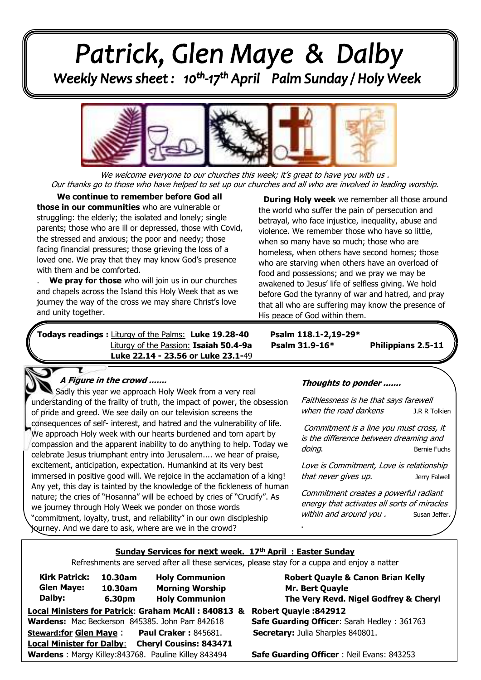# Patrick, Glen Maye & Dalby<br>Weekly News sheet: 10<sup>th</sup>-17<sup>th</sup> April Palm Sunday/Holy Week



We welcome everyone to our churches this week; it's great to have you with us. Our thanks go to those who have helped to set up our churches and all who are involved in leading worship.

**the stressed and anxious; the poor and needy; those**<br>facing financial pressures: those grieving the loss of a  loved one. We pray that they may know God's presence with them and be comforted. . **We continue to remember before God all those in our communities** who are vulnerable or struggling: the elderly; the isolated and lonely; single parents; those who are ill or depressed, those with Covid, facing financial pressures; those grieving the loss of a

 $\overline{a}$ 

. **We pray for those** who will join us in our churches and chapels across the Island this Holy Week that as we journey the way of the cross we may share Christ's love and unity together.

*Juless* readings: Liturgy of the Palms:  **Todays readings :** Liturgy of the Palms: **Luke 19.28-40 Psalm 118.1-2,19-29\*** Liturgy of the Passion: **Isaiah 50.4-9a** Psalm 31.9-16\* Philippians 2.5-11 **. Luke 22.14 - 23.56 or Luke 23.1-**49

**During Holy week** we remember all those around the world who suffer the pain of persecution and betrayal, who face injustice, inequality, abuse and violence. We remember those who have so little, when so many have so much; those who are homeless, when others have second homes; those who are starving when others have an overload of food and possessions; and we pray we may be awakened to Jesus' life of selfless giving. We hold before God the tyranny of war and hatred, and pray that all who are suffering may know the presence of His peace of God within them.

.

## **A Figure in the crowd .......**

 consequences of self- interest, and hatred and the vulnerability of life.  compassion and the apparent inability to do anything to help. Today we  celebrate Jesus triumphant entry into Jerusalem.... we hear of praise, immersed in positive good will. We rejoice in the acclamation of a king!  nature; the cries of "Hosanna" will be echoed by cries of "Crucify". As  "commitment, loyalty, trust, and reliability" in our own discipleship Sadly this year we approach Holy Week from a very real understanding of the frailty of truth, the impact of power, the obsession of pride and greed. We see daily on our television screens the We approach Holy week with our hearts burdened and torn apart by excitement, anticipation, expectation. Humankind at its very best Any yet, this day is tainted by the knowledge of the fickleness of human we journey through Holy Week we ponder on those words journey. And we dare to ask, where are we in the crowd?

#### **Thoughts to ponder .......**

Faithlessness is he that says farewell when the road darkens J.R R Tolkien

Commitment is a line you must cross, it is the difference between dreaming and doing. **Bernie** Fuchs

Love is Commitment, Love is relationship that never gives up. The latter of the latter serves that the serves of the latter serves of the latter serves

Commitment creates a powerful radiant energy that activates all sorts of miracles within and around you . Susan Jeffer.

#### **Sunday Services for next week. 17th April : Easter Sunday**

Refreshments are served after all these services, please stay for a cuppa and enjoy a natter

| <b>Kirk Patrick:</b><br><b>Glen Maye:</b>                         |  | 10.30am<br>10.30am |  |  | <b>Holy Communion</b><br><b>Morning Worship</b> |  |  |  |
|-------------------------------------------------------------------|--|--------------------|--|--|-------------------------------------------------|--|--|--|
| Dalby:                                                            |  | 6.30pm             |  |  | <b>Holy Communion</b>                           |  |  |  |
| <b>Local Ministers for Patrick: Graham McAll: 840813 &amp;</b>    |  |                    |  |  |                                                 |  |  |  |
| Wardens: Mac Beckerson 845385. John Parr 842618                   |  |                    |  |  |                                                 |  |  |  |
| <b>Steward:for Glen Maye:</b>                                     |  |                    |  |  | <b>Paul Craker: 845681.</b>                     |  |  |  |
| <b>Cheryl Cousins: 843471</b><br><b>Local Minister for Dalby:</b> |  |                    |  |  |                                                 |  |  |  |
| Wardens: Margy Killey:843768. Pauline Killey 843494               |  |                    |  |  |                                                 |  |  |  |

**Robert Quayle & Canon Brian Kelly Mr. Bert Quayle The Very Revd. Nigel Godfrey & Cheryl** 

**Local Ministers for Patrick**: **Graham McAll : 840813 & Robert Quayle :842912 Safe Guarding Officer: Sarah Hedley : 361763 Secretary:** Julia Sharples 840801.

**Safe Guarding Officer** : Neil Evans: 843253